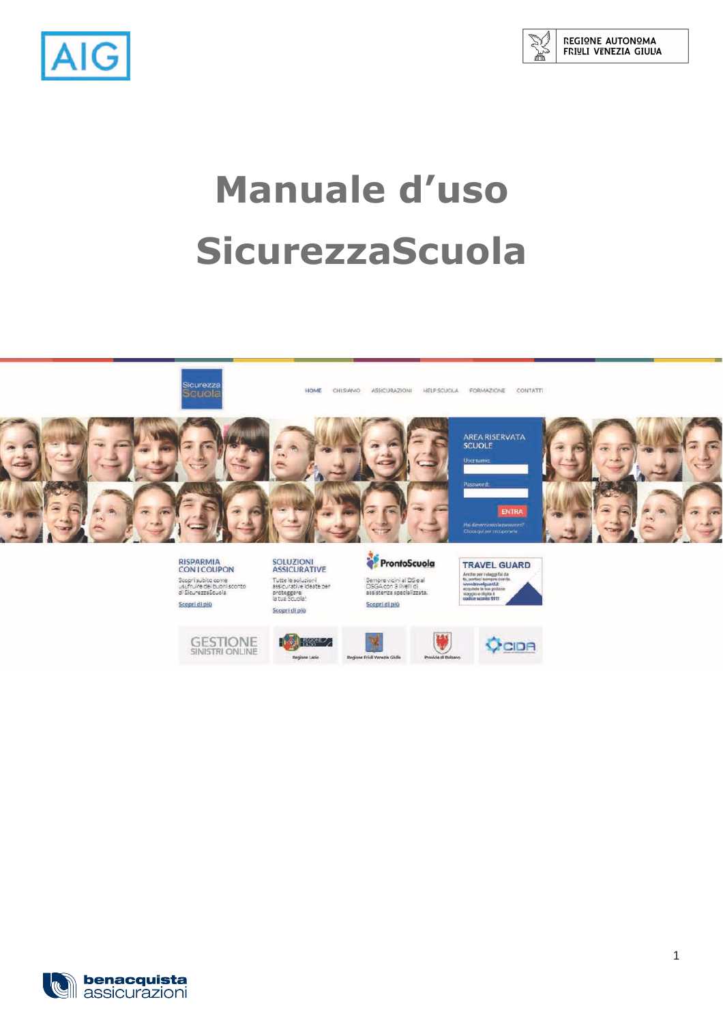



# **Manuale d'uso SicurezzaScuola**











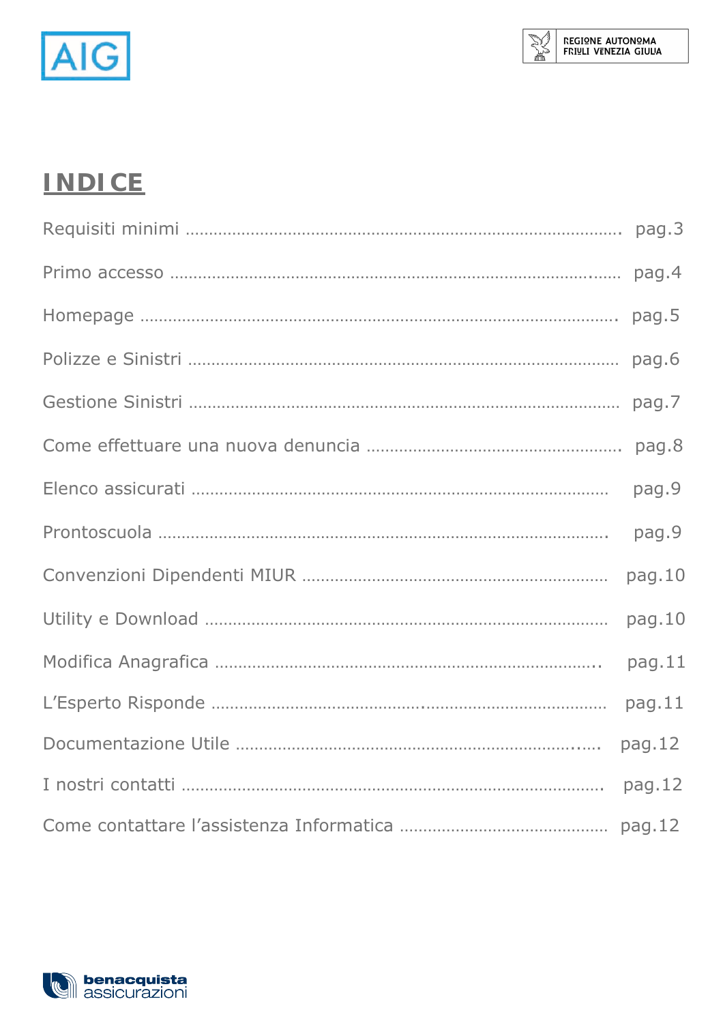

## **INDICE**

| pag.4  |
|--------|
| pag.5  |
| pag.6  |
| pag.7  |
| pag.8  |
| pag.9  |
| pag.9  |
| pag.10 |
| pag.10 |
| pag.11 |
| pag.11 |
| pag.12 |
| pag.12 |
|        |

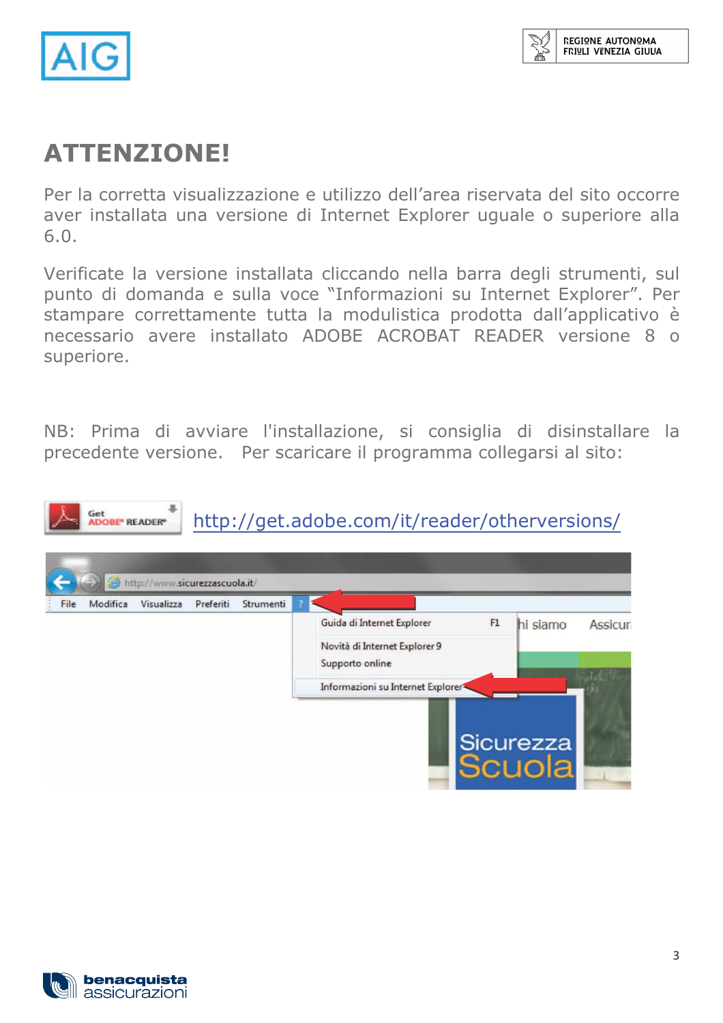

### **ATTENZIONE!**

Per la corretta visualizzazione e utilizzo dell'area riservata del sito occorre aver installata una versione di Internet Explorer uguale o superiore alla  $6.0.$ 

Verificate la versione installata cliccando nella barra degli strumenti, sul punto di domanda e sulla voce "Informazioni su Internet Explorer". Per stampare correttamente tutta la modulistica prodotta dall'applicativo è necessario avere installato ADOBE ACROBAT READER versione 8 o superiore.

NB: Prima di avviare l'installazione, si consiglia di disinstallare la precedente versione. Per scaricare il programma collegarsi al sito:



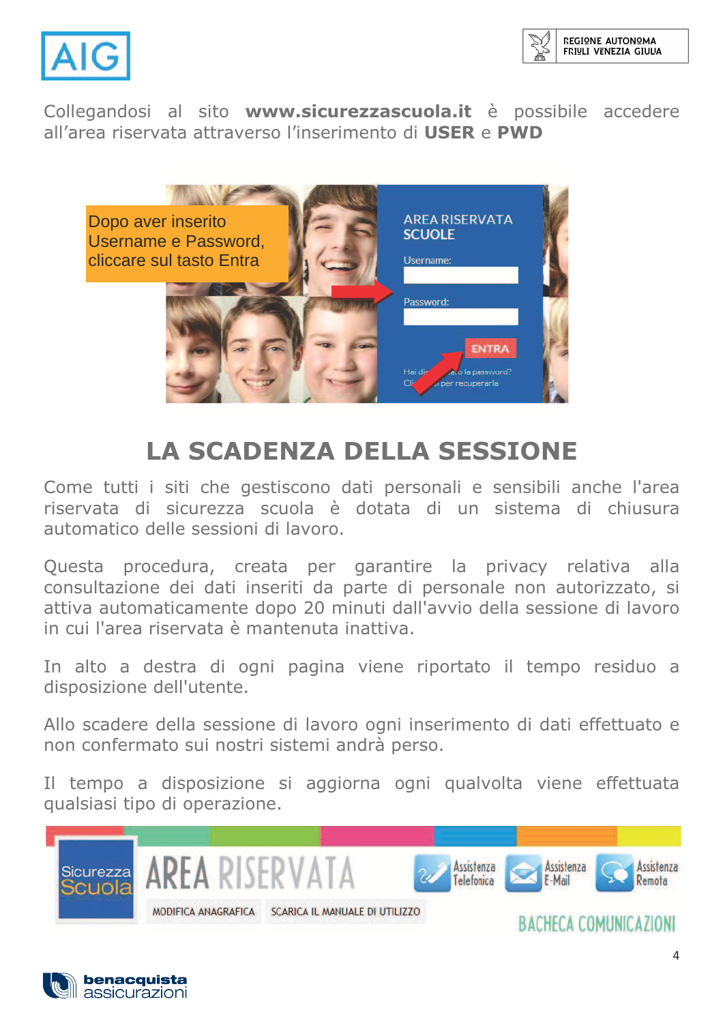



Collegandosi al sito www.sicurezzascuola.it è possibile accedere all'area riservata attraverso l'inserimento di USER e PWD



## **LA SCADENZA DELLA SESSIONE**

Come tutti i siti che gestiscono dati personali e sensibili anche l'area riservata di sicurezza scuola è dotata di un sistema di chiusura automatico delle sessioni di lavoro

Questa procedura, creata per garantire la privacy relativa alla consultazione dei dati inseriti da parte di personale non autorizzato, si attiva automaticamente dopo 20 minuti dall'avvio della sessione di lavoro in cui l'area riservata è mantenuta inattiva.

In alto a destra di ogni pagina viene riportato il tempo residuo a disposizione dell'utente.

Allo scadere della sessione di lavoro ogni inserimento di dati effettuato e non confermato sui nostri sistemi andrà perso.

Il tempo a disposizione si aggiorna ogni qualvolta viene effettuata qualsiasi tipo di operazione.

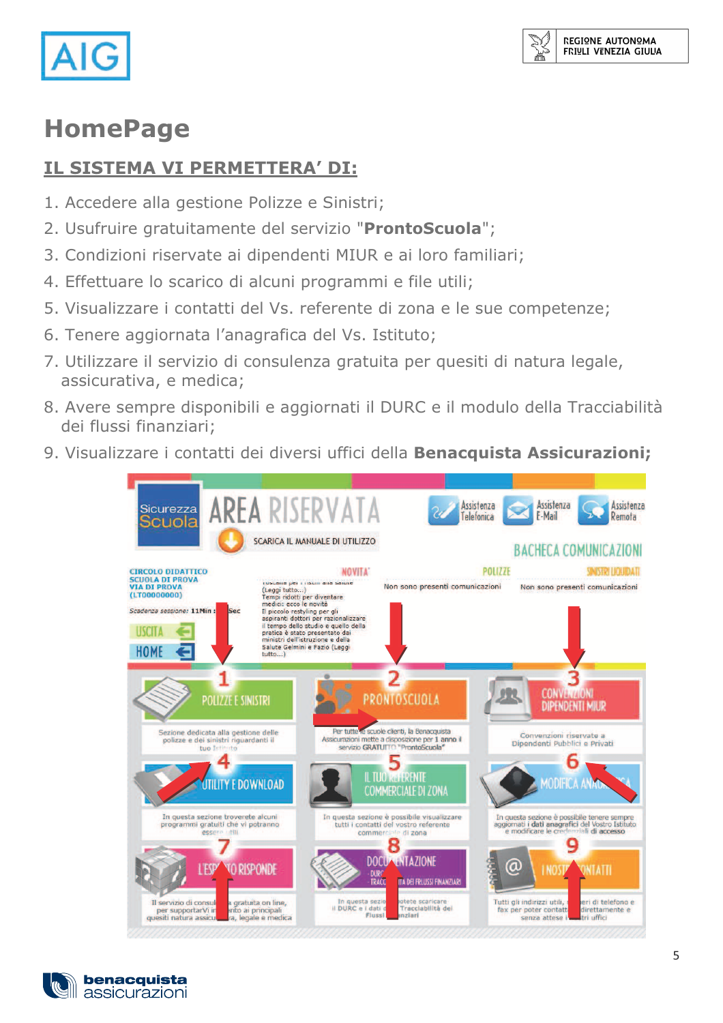

m

### **HomePage**

#### IL SISTEMA VI PERMETTERA' DI:

- 1. Accedere alla gestione Polizze e Sinistri;
- 2. Usufruire gratuitamente del servizio "ProntoScuola";
- 3. Condizioni riservate ai dipendenti MIUR e ai loro familiari;
- 4. Effettuare lo scarico di alcuni programmi e file utili;
- 5. Visualizzare i contatti del Vs. referente di zona e le sue competenze;
- 6. Tenere aggiornata l'anagrafica del Vs. Istituto;
- 7. Utilizzare il servizio di consulenza gratuita per quesiti di natura legale, assicurativa, e medica;
- 8. Avere sempre disponibili e aggiornati il DURC e il modulo della Tracciabilità dei flussi finanziari;
- 9. Visualizzare i contatti dei diversi uffici della Benacquista Assicurazioni;



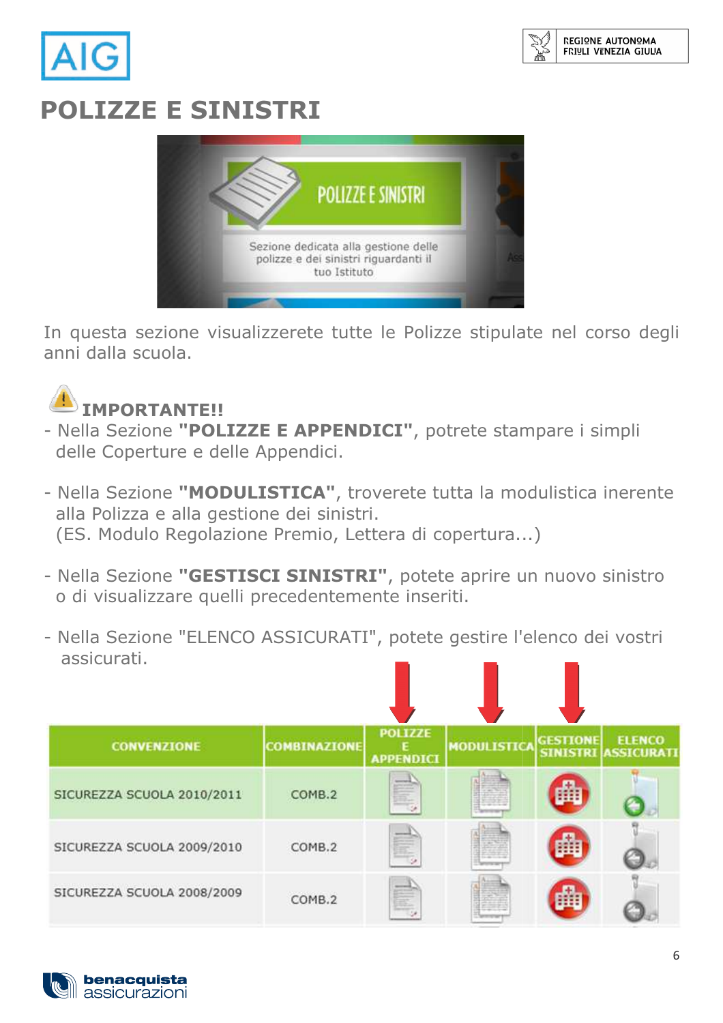

# **POLIZZE E SINISTRI**



In questa sezione visualizzerete tutte le Polizze stipulate nel corso degli anni dalla scuola.



- Nella Sezione "POLIZZE E APPENDICI", potrete stampare i simpli delle Coperture e delle Appendici.
- Nella Sezione "MODULISTICA", troverete tutta la modulistica inerente alla Polizza e alla gestione dei sinistri. (ES. Modulo Regolazione Premio, Lettera di copertura...)
- Nella Sezione "GESTISCI SINISTRI", potete aprire un nuovo sinistro o di visualizzare quelli precedentemente inseriti.
- Nella Sezione "ELENCO ASSICURATI", potete gestire l'elenco dei vostri assicurati.

| <b>CONVENZIONE</b>         | <b>COMBINAZIONE</b> | <b>POLIZZE</b><br><b>APPENDICI</b>             | <b>MODULISTICA</b> | <b>GESTIONE</b><br><b>SINISTRI</b> | <b>ELENCO</b><br><b>ASSICURATI</b> |
|----------------------------|---------------------|------------------------------------------------|--------------------|------------------------------------|------------------------------------|
| SICUREZZA SCUOLA 2010/2011 | COMB.2              | <b><i><u>American</u></i></b><br>$\frac{1}{2}$ |                    |                                    |                                    |
| SICUREZZA SCUOLA 2009/2010 | COMB.2              | E,                                             |                    |                                    |                                    |
| SICUREZZA SCUOLA 2008/2009 | COMB.2              | Ġ,                                             |                    |                                    |                                    |

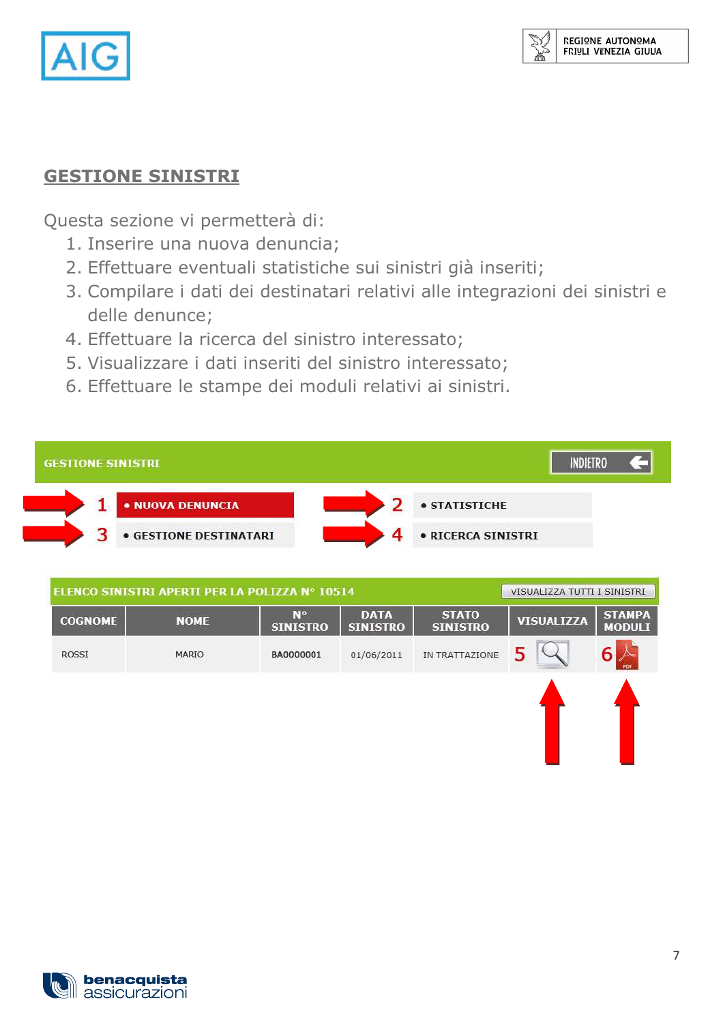

#### **GESTIONE SINISTRI**

Questa sezione vi permetterà di:

- 1. Inserire una nuova denuncia;
- 2. Effettuare eventuali statistiche sui sinistri già inseriti;
- 3. Compilare i dati dei destinatari relativi alle integrazioni dei sinistri e delle denunce;
- 4. Effettuare la ricerca del sinistro interessato;
- 5. Visualizzare i dati inseriti del sinistro interessato;
- 6. Effettuare le stampe dei moduli relativi ai sinistri.

| <b>GESTIONE SINISTRI</b>      |                    |
|-------------------------------|--------------------|
| . NUOVA DENUNCIA              | · STATISTICHE      |
| <b>• GESTIONE DESTINATARI</b> | · RICERCA SINISTRI |

| ELENCO SINISTRI APERTI PER LA POLIZZA Nº 10514 |              |                              | VISUALIZZA TUTTI I SINISTRI    |                                 |                   |                                |
|------------------------------------------------|--------------|------------------------------|--------------------------------|---------------------------------|-------------------|--------------------------------|
| <b>COGNOME</b>                                 | <b>NOME</b>  | <b>Nº</b><br><b>SINISTRO</b> | <b>DATA</b><br><b>SINISTRO</b> | <b>STATO</b><br><b>SINISTRO</b> | <b>VISUALIZZA</b> | <b>STAMPA</b><br><b>MODULI</b> |
| <b>ROSSI</b>                                   | <b>MARIO</b> | BA0000001                    | 01/06/2011                     | IN TRATTAZIONE                  |                   |                                |
|                                                |              |                              |                                |                                 |                   |                                |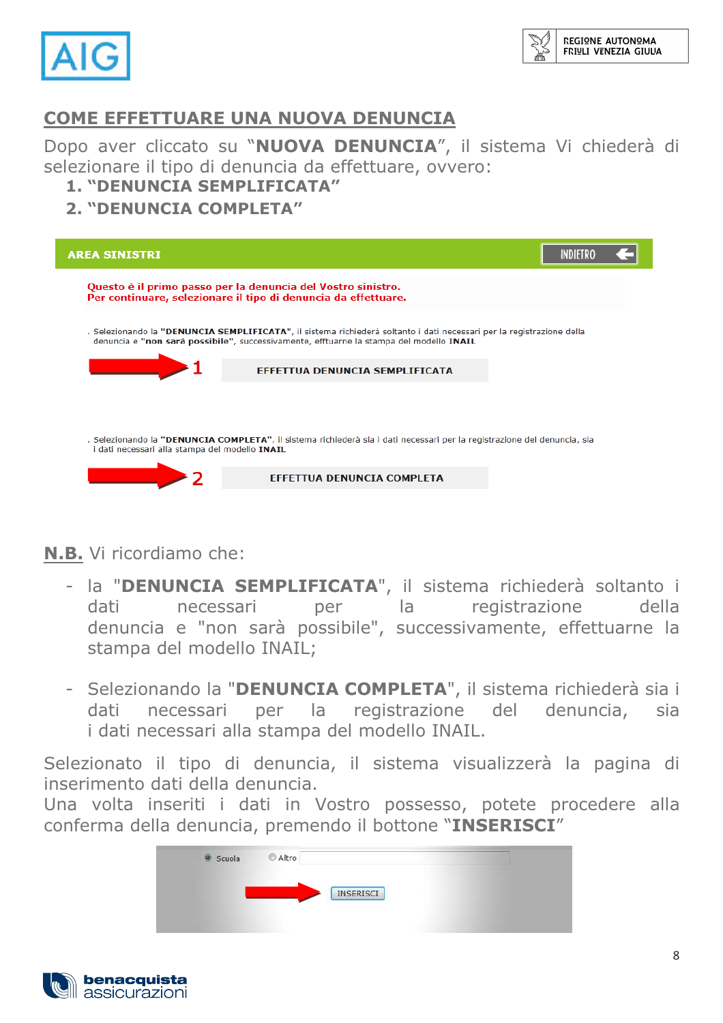

#### **COME EFFETTUARE UNA NUOVA DENUNCIA**

Dopo aver cliccato su "NUOVA DENUNCIA", il sistema Vi chiederà di selezionare il tipo di denuncia da effettuare, ovvero: 1. "DENUNCIA SEMPLIFICATA"

#### 2. "DENIINCTA COMPLETA"



#### N.B. Vi ricordiamo che:

- la "DENUNCIA SEMPLIFICATA", il sistema richiederà soltanto i dati necessari per la registrazione della denuncia e "non sarà possibile", successivamente, effettuarne la stampa del modello INAIL:
- Selezionando la "DENUNCIA COMPLETA", il sistema richiederà sia i necessari per la registrazione del denuncia, dati sia i dati necessari alla stampa del modello INAIL.

Selezionato il tipo di denuncia, il sistema visualizzerà la pagina di inserimento dati della denuncia.

Una volta inseriti i dati in Vostro possesso, potete procedere alla conferma della denuncia, premendo il bottone "INSERISCI"



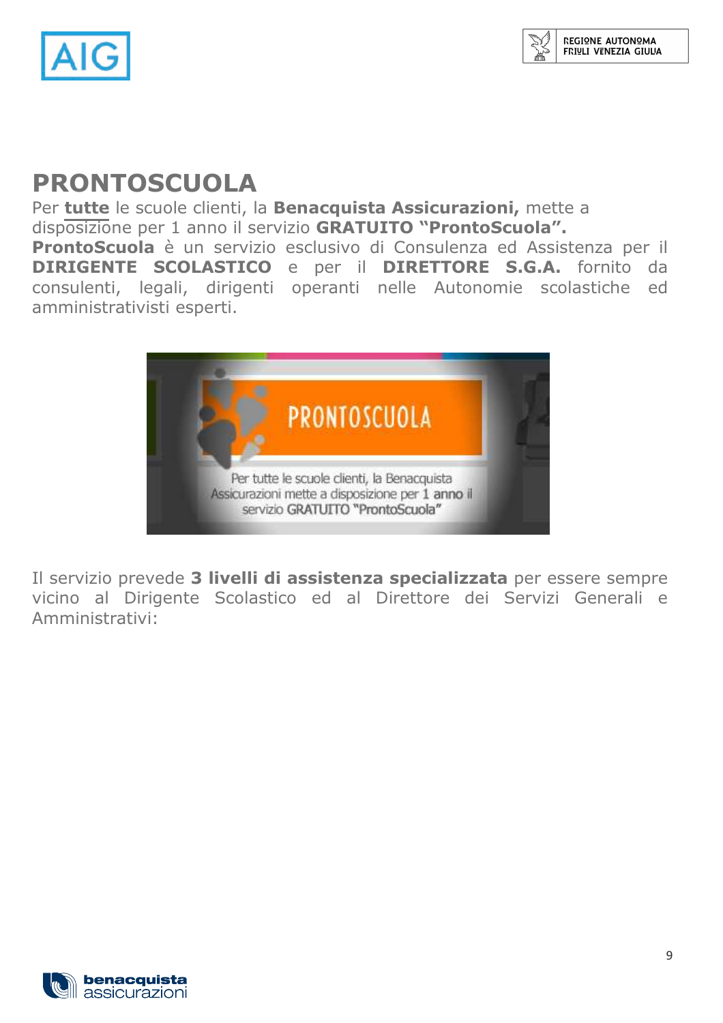

### **PRONTOSCUOLA**

Per tutte le scuole clienti, la Benacquista Assicurazioni, mette a disposizione per 1 anno il servizio GRATUITO "ProntoScuola". ProntoScuola è un servizio esclusivo di Consulenza ed Assistenza per il DIRIGENTE SCOLASTICO e per il DIRETTORE S.G.A. fornito da consulenti, legali, dirigenti operanti nelle Autonomie scolastiche ed amministrativisti esperti.



Il servizio prevede 3 livelli di assistenza specializzata per essere sempre vicino al Dirigente Scolastico ed al Direttore dei Servizi Generali e Amministrativi:

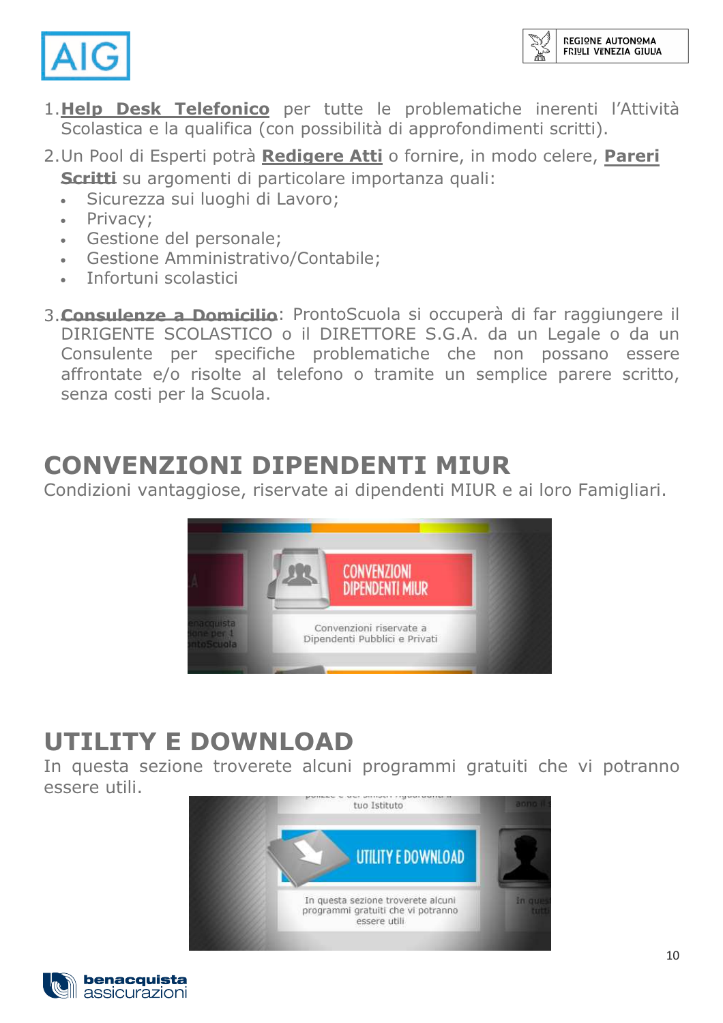



- 1.Help Desk Telefonico per tutte le problematiche inerenti l'Attività Scolastica e la qualifica (con possibilità di approfondimenti scritti).
- 2. Un Pool di Esperti potrà Redigere Atti o fornire, in modo celere, Pareri Scritti su argomenti di particolare importanza quali:
	- Sicurezza sui luoghi di Lavoro;  $\bullet$
	- Privacy:  $\bullet$
	- Gestione del personale;  $\bullet$
	- **Gestione Amministrativo/Contabile:**
	- Infortuni scolastici
- 3. Consulenze a Domicilio: ProntoScuola si occuperà di far raggiungere il DIRIGENTE SCOLASTICO o il DIRETTORE S.G.A. da un Legale o da un Consulente per specifiche problematiche che non possano essere affrontate e/o risolte al telefono o tramite un semplice parere scritto, senza costi per la Scuola.

### **CONVENZIONI DIPENDENTI MIUR**

Condizioni vantaggiose, riservate ai dipendenti MIUR e ai loro Famigliari.



# **UTILITY E DOWNLOAD**

In questa sezione troverete alcuni programmi gratuiti che vi potranno essere utili.



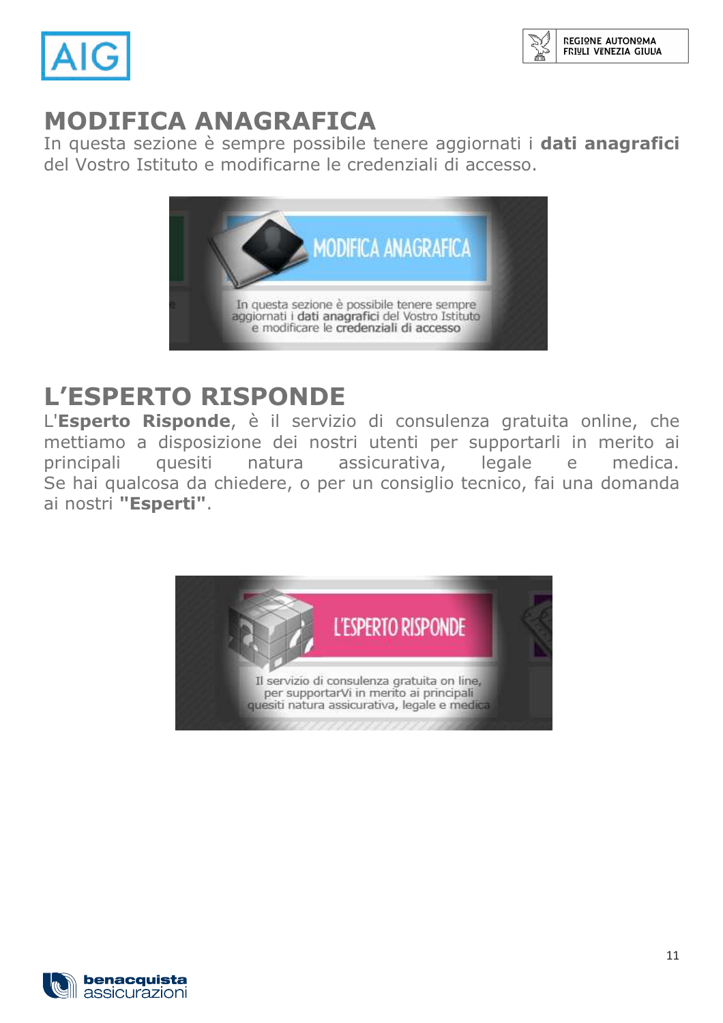

## **MODIFICA ANAGRAFICA**

In questa sezione è sempre possibile tenere aggiornati i dati anagrafici del Vostro Istituto e modificarne le credenziali di accesso.



## **L'ESPERTO RISPONDE**

L'Esperto Risponde, è il servizio di consulenza gratuita online, che mettiamo a disposizione dei nostri utenti per supportarli in merito ai principali quesiti assicurativa, legale natura medica.  $e$ Se hai qualcosa da chiedere, o per un consiglio tecnico, fai una domanda ai nostri "Esperti".